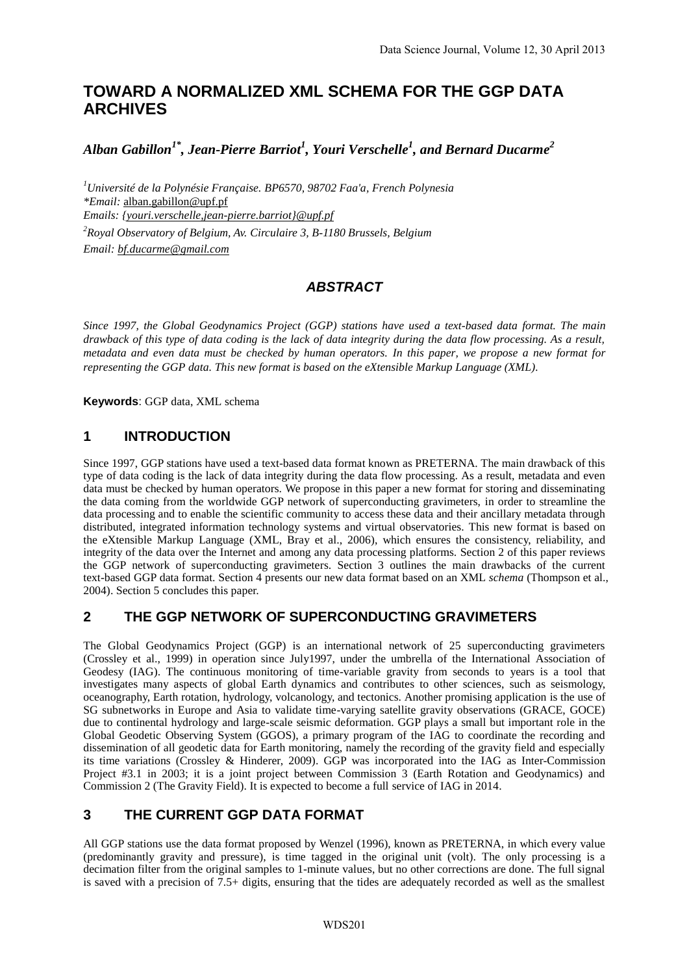# **TOWARD A NORMALIZED XML SCHEMA FOR THE GGP DATA ARCHIVES**

*Alban Gabillon1\* , Jean-Pierre Barriot<sup>1</sup> , Youri Verschelle<sup>1</sup> , and Bernard Ducarme<sup>2</sup>*

*<sup>1</sup>Université de la Polynésie Française. BP6570, 98702 Faa'a, French Polynesia \*Email:* alban.gabillon@upf.pf *Emails: {youri.verschelle,jean-pierre.barriot}@upf.pf <sup>2</sup>Royal Observatory of Belgium, Av. Circulaire 3, B-1180 Brussels, Belgium Email: bf.ducarme@gmail.com*

# *ABSTRACT*

*Since 1997, the Global Geodynamics Project (GGP) stations have used a text-based data format. The main drawback of this type of data coding is the lack of data integrity during the data flow processing. As a result, metadata and even data must be checked by human operators. In this paper, we propose a new format for representing the GGP data. This new format is based on the eXtensible Markup Language (XML).* 

**Keywords**: GGP data, XML schema

## **1 INTRODUCTION**

Since 1997, GGP stations have used a text-based data format known as PRETERNA. The main drawback of this type of data coding is the lack of data integrity during the data flow processing. As a result, metadata and even data must be checked by human operators. We propose in this paper a new format for storing and disseminating the data coming from the worldwide GGP network of superconducting gravimeters, in order to streamline the data processing and to enable the scientific community to access these data and their ancillary metadata through distributed, integrated information technology systems and virtual observatories. This new format is based on the eXtensible Markup Language (XML, Bray et al., 2006), which ensures the consistency, reliability, and integrity of the data over the Internet and among any data processing platforms. Section 2 of this paper reviews the GGP network of superconducting gravimeters. Section 3 outlines the main drawbacks of the current text-based GGP data format. Section 4 presents our new data format based on an XML *schema* (Thompson et al., 2004). Section 5 concludes this paper.

## **2 THE GGP NETWORK OF SUPERCONDUCTING GRAVIMETERS**

The Global Geodynamics Project (GGP) is an international network of 25 superconducting gravimeters (Crossley et al., 1999) in operation since July1997, under the umbrella of the International Association of Geodesy (IAG). The continuous monitoring of time-variable gravity from seconds to years is a tool that investigates many aspects of global Earth dynamics and contributes to other sciences, such as seismology, oceanography, Earth rotation, hydrology, volcanology, and tectonics. Another promising application is the use of SG subnetworks in Europe and Asia to validate time-varying satellite gravity observations (GRACE, GOCE) due to continental hydrology and large-scale seismic deformation. GGP plays a small but important role in the Global Geodetic Observing System (GGOS), a primary program of the IAG to coordinate the recording and dissemination of all geodetic data for Earth monitoring, namely the recording of the gravity field and especially its time variations (Crossley & Hinderer, 2009). GGP was incorporated into the IAG as Inter-Commission Project #3.1 in 2003; it is a joint project between Commission 3 (Earth Rotation and Geodynamics) and Commission 2 (The Gravity Field). It is expected to become a full service of IAG in 2014.

## **3 THE CURRENT GGP DATA FORMAT**

All GGP stations use the data format proposed by Wenzel (1996), known as PRETERNA, in which every value (predominantly gravity and pressure), is time tagged in the original unit (volt). The only processing is a decimation filter from the original samples to 1-minute values, but no other corrections are done. The full signal is saved with a precision of  $7.5+$  digits, ensuring that the tides are adequately recorded as well as the smallest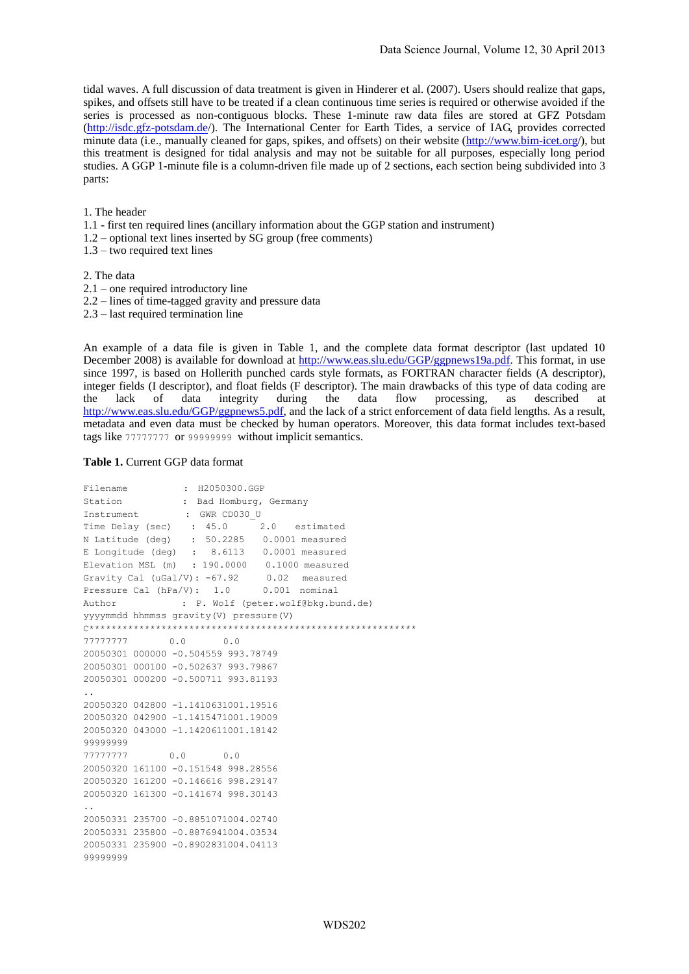tidal waves. A full discussion of data treatment is given in Hinderer et al. (2007). Users should realize that gaps, spikes, and offsets still have to be treated if a clean continuous time series is required or otherwise avoided if the series is processed as non-contiguous blocks. These 1-minute raw data files are stored at GFZ Potsdam [\(http://isdc.gfz-potsdam.de/](http://isdc.gfz-potsdam.de/)). The International Center for Earth Tides, a service of IAG, provides corrected minute data (i.e., manually cleaned for gaps, spikes, and offsets) on their website [\(http://www.bim-icet.org/](http://www.bim-icet.org/)), but this treatment is designed for tidal analysis and may not be suitable for all purposes, especially long period studies. A GGP 1-minute file is a column-driven file made up of 2 sections, each section being subdivided into 3 parts:

#### 1. The header

- 1.1 first ten required lines (ancillary information about the GGP station and instrument)
- 1.2 optional text lines inserted by SG group (free comments)
- 1.3 two required text lines

2. The data

- 2.1 one required introductory line
- 2.2 lines of time-tagged gravity and pressure data
- 2.3 last required termination line

An example of a data file is given in Table 1, and the complete data format descriptor (last updated 10 December 2008) is available for download at [http://www.eas.slu.edu/GGP/ggpnews19a.pdf.](http://www.eas.slu.edu/GGP/ggpnews19a.pdf) This format, in use since 1997, is based on Hollerith punched cards style formats, as FORTRAN character fields (A descriptor), integer fields (I descriptor), and float fields (F descriptor). The main drawbacks of this type of data coding are the lack of data integrity during the data flow processing, as described [http://www.eas.slu.edu/GGP/ggpnews5.pdf,](http://www.eas.slu.edu/GGP/ggpnews5.pdf) and the lack of a strict enforcement of data field lengths. As a result, metadata and even data must be checked by human operators. Moreover, this data format includes text-based tags like 77777777 or 99999999 without implicit semantics.

#### **Table 1.** Current GGP data format

```
Filename : H2050300.GGP
Station : Bad Homburg, Germany
Instrument : GWR CD030 U
Time Delay (sec) : 45.0 2.0 estimated
N Latitude (deg) : 50.2285 0.0001 measured
E Longitude (deg) : 8.6113 0.0001 measured
Elevation MSL (m) : 190.0000 0.1000 measured
Gravity Cal (uGal/V): -67.92 0.02 measured<br>Pressure Cal (hPa/V): 1.0 0.001 nominal
Pressure Cal (hPa/V): 1.0Author : P. Wolf (peter.wolf@bkg.bund.de)
yyyymmdd hhmmss gravity(V) pressure(V)
C***********************************************************
77777777 0.0 0.0
20050301 000000 -0.504559 993.78749
20050301 000100 -0.502637 993.79867
20050301 000200 -0.500711 993.81193
..
20050320 042800 -1.1410631001.19516
20050320 042900 -1.1415471001.19009
20050320 043000 -1.1420611001.18142
99999999
77777777 0.0 0.0
20050320 161100 -0.151548 998.28556
20050320 161200 -0.146616 998.29147
20050320 161300 -0.141674 998.30143
..
20050331 235700 -0.8851071004.02740
20050331 235800 -0.8876941004.03534
20050331 235900 -0.8902831004.04113
99999999
```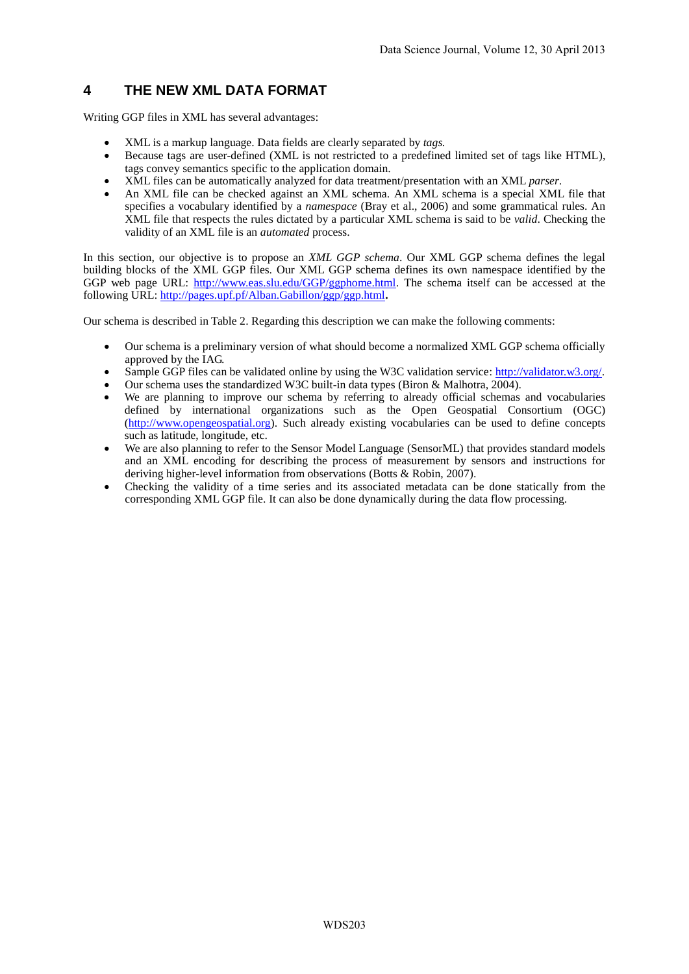## **4 THE NEW XML DATA FORMAT**

Writing GGP files in XML has several advantages:

- XML is a markup language. Data fields are clearly separated by *tags.*
- Because tags are user-defined (XML is not restricted to a predefined limited set of tags like HTML), tags convey semantics specific to the application domain.
- XML files can be automatically analyzed for data treatment/presentation with an XML *parser*.
- An XML file can be checked against an XML schema. An XML schema is a special XML file that specifies a vocabulary identified by a *namespace* (Bray et al., 2006) and some grammatical rules. An XML file that respects the rules dictated by a particular XML schema is said to be *valid*. Checking the validity of an XML file is an *automated* process.

In this section, our objective is to propose an *XML GGP schema*. Our XML GGP schema defines the legal building blocks of the XML GGP files. Our XML GGP schema defines its own namespace identified by the GGP web page URL: [http://www.eas.slu.edu/GGP/ggphome.html.](http://www.eas.slu.edu/GGP/ggphome.html) The schema itself can be accessed at the following URL[: http://pages.upf.pf/Alban.Gabillon/ggp/ggp.html](http://pages.upf.pf/Alban.Gabillon/ggp/ggp.html)**.**

Our schema is described in Table 2. Regarding this description we can make the following comments:

- Our schema is a preliminary version of what should become a normalized XML GGP schema officially approved by the IAG.
- Sample GGP files can be validated online by using the W3C validation service: [http://validator.w3.org/.](http://validator.w3.org/)
- Our schema uses the standardized W3C built-in data types (Biron & Malhotra, 2004).
- We are planning to improve our schema by referring to already official schemas and vocabularies defined by international organizations such as the Open Geospatial Consortium (OGC) [\(http://www.opengeospatial.org\)](http://www.opengeospatial.org/). Such already existing vocabularies can be used to define concepts such as latitude, longitude, etc.
- We are also planning to refer to the Sensor Model Language (SensorML) that provides standard models and an XML encoding for describing the process of measurement by sensors and instructions for deriving higher-level information from observations (Botts & Robin, 2007).
- Checking the validity of a time series and its associated metadata can be done statically from the corresponding XML GGP file. It can also be done dynamically during the data flow processing.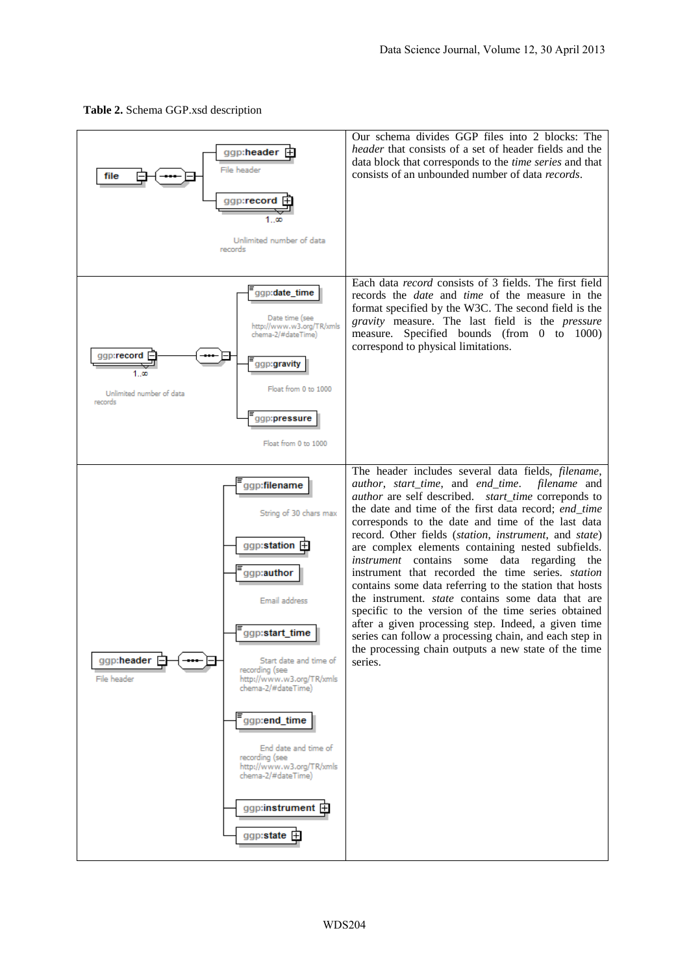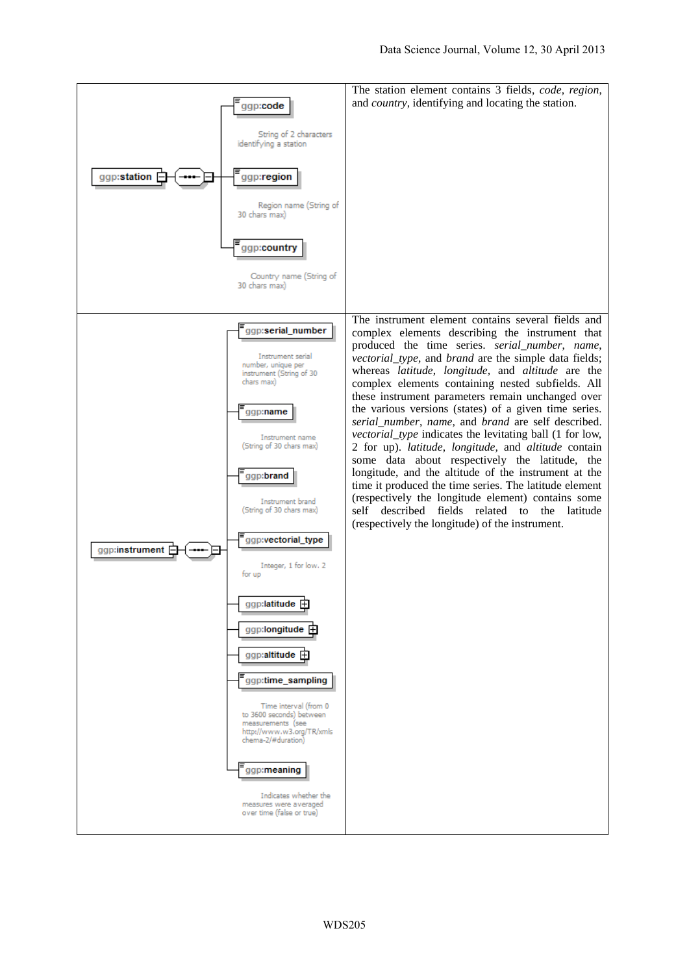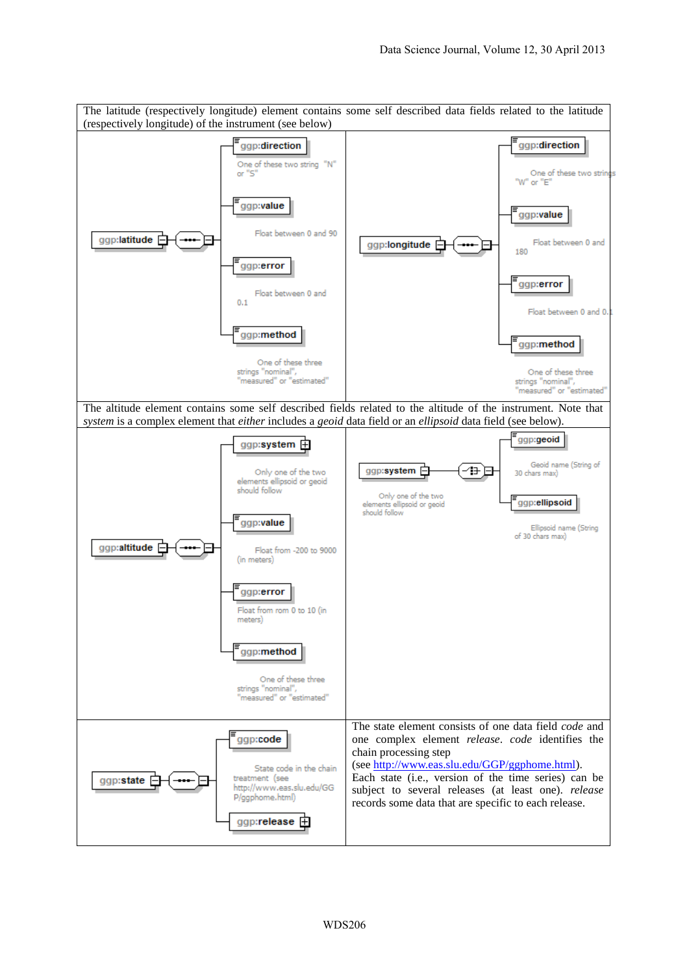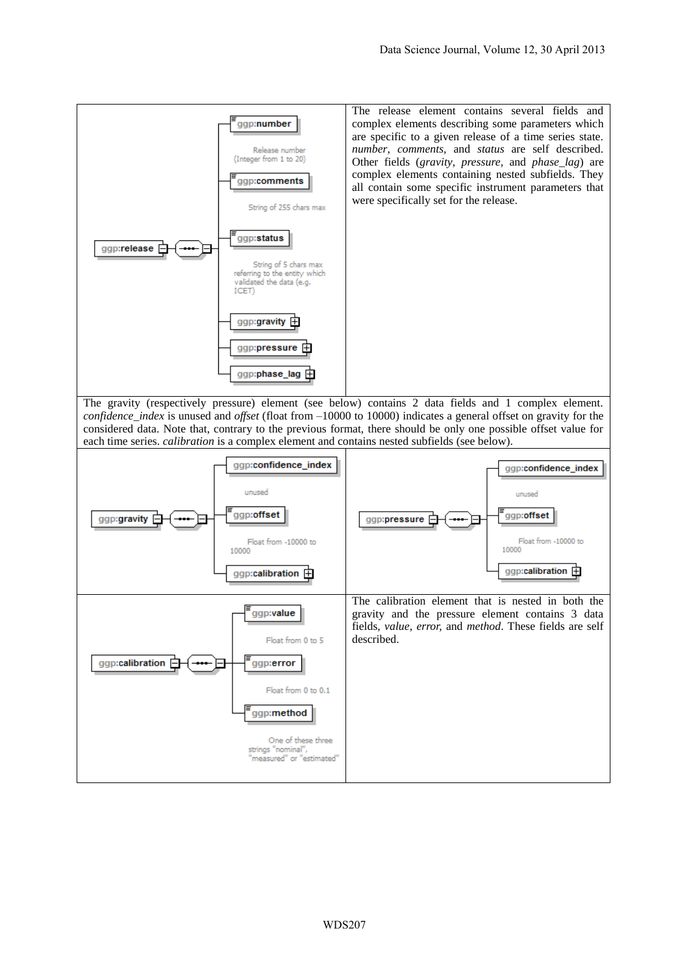